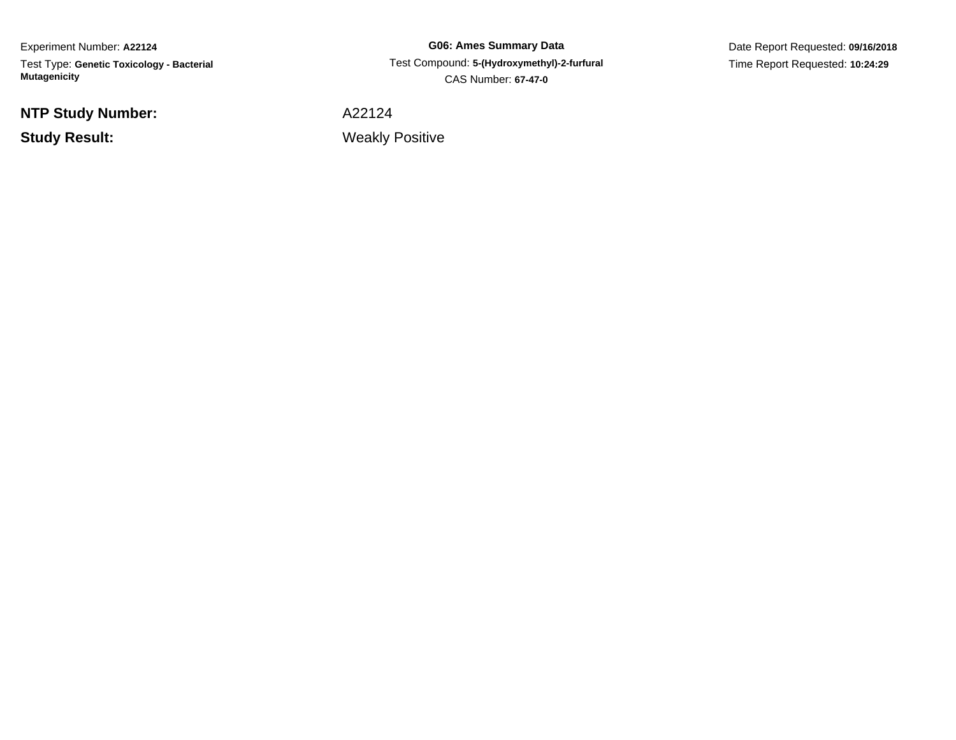Experiment Number: **A22124** Test Type: **Genetic Toxicology - Bacterial Mutagenicity**

**NTP Study Number:**

**Study Result:**

**G06: Ames Summary Data** Test Compound: **5-(Hydroxymethyl)-2-furfural**CAS Number: **67-47-0**

Date Report Requested: **09/16/2018**Time Report Requested: **10:24:29**

A22124

Weakly Positive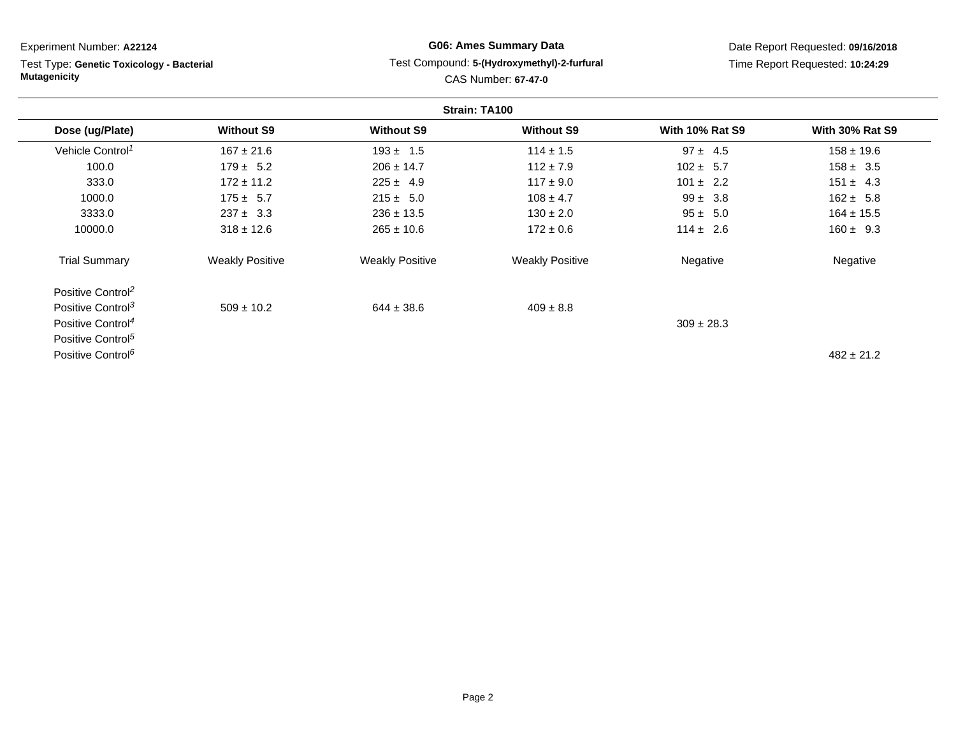| Experiment Number: A22124                                        |                        |                        | <b>G06: Ames Summary Data</b>                                             |                        | Date Report Requested: 09/16/2018 |
|------------------------------------------------------------------|------------------------|------------------------|---------------------------------------------------------------------------|------------------------|-----------------------------------|
| Test Type: Genetic Toxicology - Bacterial<br><b>Mutagenicity</b> |                        |                        | Test Compound: 5-(Hydroxymethyl)-2-furfural<br><b>CAS Number: 67-47-0</b> |                        | Time Report Requested: 10:24:29   |
|                                                                  |                        |                        | Strain: TA100                                                             |                        |                                   |
| Dose (ug/Plate)                                                  | <b>Without S9</b>      | <b>Without S9</b>      | <b>Without S9</b>                                                         | <b>With 10% Rat S9</b> | <b>With 30% Rat S9</b>            |
| Vehicle Control <sup>1</sup>                                     | $167 \pm 21.6$         | $193 \pm 1.5$          | $114 \pm 1.5$                                                             | $97 \pm 4.5$           | $158 \pm 19.6$                    |
| 100.0                                                            | $179 \pm 5.2$          | $206 \pm 14.7$         | $112 \pm 7.9$                                                             | $102 \pm 5.7$          | $158 \pm 3.5$                     |
| 333.0                                                            | $172 \pm 11.2$         | $225 \pm 4.9$          | $117 \pm 9.0$                                                             | $101 \pm 2.2$          | $151 \pm 4.3$                     |
| 1000.0                                                           | $175 \pm 5.7$          | $215 \pm 5.0$          | $108 \pm 4.7$                                                             | $99 \pm 3.8$           | $162 \pm 5.8$                     |
| 3333.0                                                           | $237 \pm 3.3$          | $236 \pm 13.5$         | $130 \pm 2.0$                                                             | $95 \pm 5.0$           | $164 \pm 15.5$                    |
| 10000.0                                                          | $318 \pm 12.6$         | $265 \pm 10.6$         | $172 \pm 0.6$                                                             | $114 \pm 2.6$          | $160 \pm 9.3$                     |
| <b>Trial Summary</b>                                             | <b>Weakly Positive</b> | <b>Weakly Positive</b> | <b>Weakly Positive</b>                                                    | Negative               | Negative                          |
| Positive Control <sup>2</sup>                                    |                        |                        |                                                                           |                        |                                   |
| Positive Control <sup>3</sup>                                    | $509 \pm 10.2$         | $644 \pm 38.6$         | $409 \pm 8.8$                                                             |                        |                                   |
| Positive Control <sup>4</sup>                                    |                        |                        |                                                                           | $309 \pm 28.3$         |                                   |
| Positive Control <sup>5</sup>                                    |                        |                        |                                                                           |                        |                                   |
| Positive Control <sup>6</sup>                                    |                        |                        |                                                                           |                        | $482 \pm 21.2$                    |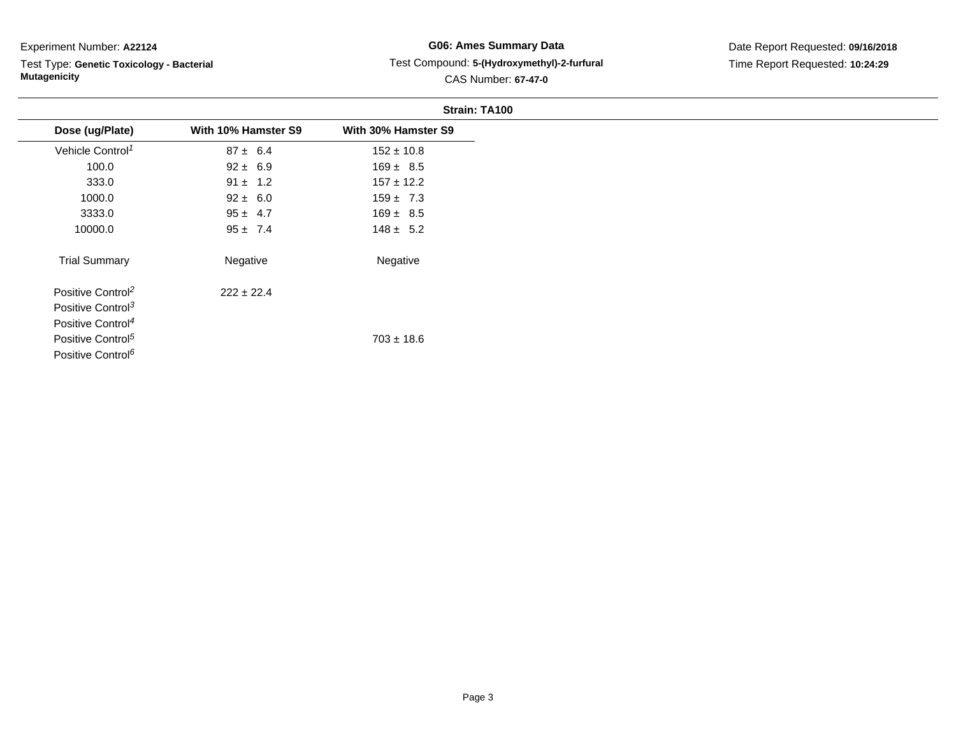Test Type: **Genetic Toxicology - Bacterial Mutagenicity**

# **G06: Ames Summary Data** Test Compound: **5-(Hydroxymethyl)-2-furfural**CAS Number: **67-47-0**

|                               |                     | Strain: TA100       |
|-------------------------------|---------------------|---------------------|
| Dose (ug/Plate)               | With 10% Hamster S9 | With 30% Hamster S9 |
| Vehicle Control <sup>1</sup>  | $87 \pm 6.4$        | $152 \pm 10.8$      |
| 100.0                         | $92 \pm 6.9$        | $169 \pm 8.5$       |
| 333.0                         | $91 \pm 1.2$        | $157 \pm 12.2$      |
| 1000.0                        | $92 \pm 6.0$        | $159 \pm 7.3$       |
| 3333.0                        | $95 \pm 4.7$        | $169 \pm 8.5$       |
| 10000.0                       | $95 \pm 7.4$        | $148 \pm 5.2$       |
| <b>Trial Summary</b>          | Negative            | Negative            |
| Positive Control <sup>2</sup> | $222 \pm 22.4$      |                     |
| Positive Control <sup>3</sup> |                     |                     |
| Positive Control <sup>4</sup> |                     |                     |
| Positive Control <sup>5</sup> |                     | $703 \pm 18.6$      |
| Positive Control <sup>6</sup> |                     |                     |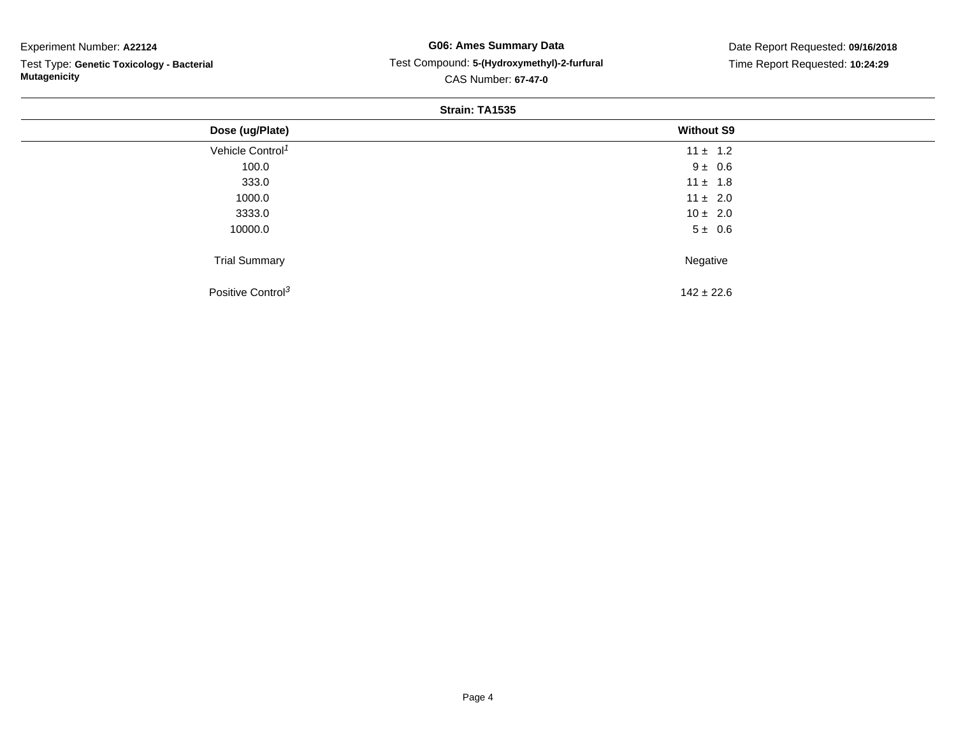Test Type: **Genetic Toxicology - Bacterial Mutagenicity**

## **G06: Ames Summary Data** Test Compound: **5-(Hydroxymethyl)-2-furfural**CAS Number: **67-47-0**

Date Report Requested: **09/16/2018**Time Report Requested: **10:24:29**

#### **Strain: TA1535**

| Dose (ug/Plate)               | <b>Without S9</b> |  |
|-------------------------------|-------------------|--|
| Vehicle Control <sup>1</sup>  | $11 \pm 1.2$      |  |
| 100.0                         | $9 \pm 0.6$       |  |
| 333.0                         | $11 \pm 1.8$      |  |
| 1000.0                        | $11 \pm 2.0$      |  |
| 3333.0                        | $10 \pm 2.0$      |  |
| 10000.0                       | $5 \pm 0.6$       |  |
| <b>Trial Summary</b>          | Negative          |  |
| Positive Control <sup>3</sup> | $142 \pm 22.6$    |  |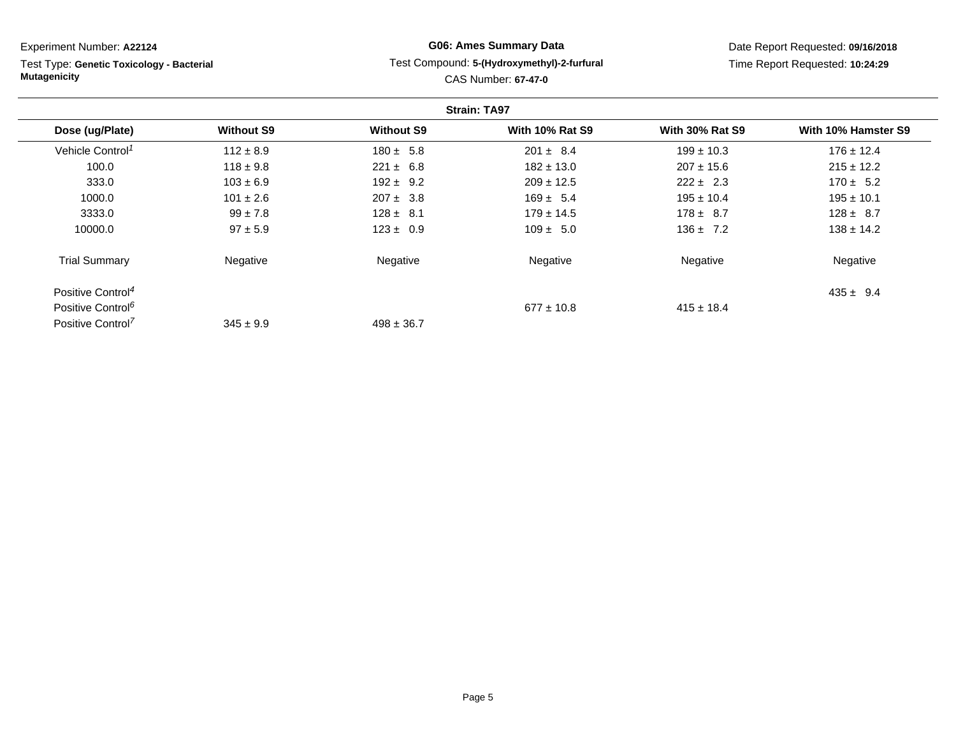| Experiment Number: A22124                                        |                   |                   | <b>G06: Ames Summary Data</b>                                             |                        | Date Report Requested: 09/16/2018 |
|------------------------------------------------------------------|-------------------|-------------------|---------------------------------------------------------------------------|------------------------|-----------------------------------|
| Test Type: Genetic Toxicology - Bacterial<br><b>Mutagenicity</b> |                   |                   | Test Compound: 5-(Hydroxymethyl)-2-furfural<br><b>CAS Number: 67-47-0</b> |                        | Time Report Requested: 10:24:29   |
|                                                                  |                   |                   | <b>Strain: TA97</b>                                                       |                        |                                   |
| Dose (ug/Plate)                                                  | <b>Without S9</b> | <b>Without S9</b> | <b>With 10% Rat S9</b>                                                    | <b>With 30% Rat S9</b> | With 10% Hamster S9               |
| Vehicle Control <sup>1</sup>                                     | $112 \pm 8.9$     | $180 \pm 5.8$     | $201 \pm 8.4$                                                             | $199 \pm 10.3$         | $176 \pm 12.4$                    |
| 100.0                                                            | $118 \pm 9.8$     | $221 \pm 6.8$     | $182 \pm 13.0$                                                            | $207 \pm 15.6$         | $215 \pm 12.2$                    |
| 333.0                                                            | $103 \pm 6.9$     | $192 \pm 9.2$     | $209 \pm 12.5$                                                            | $222 \pm 2.3$          | $170 \pm 5.2$                     |
| 1000.0                                                           | $101 \pm 2.6$     | $207 \pm 3.8$     | $169 \pm 5.4$                                                             | $195 \pm 10.4$         | $195 \pm 10.1$                    |
| 3333.0                                                           | $99 \pm 7.8$      | $128 \pm 8.1$     | $179 \pm 14.5$                                                            | $178 \pm 8.7$          | $128 \pm 8.7$                     |
| 10000.0                                                          | $97 \pm 5.9$      | $123 \pm 0.9$     | $109 \pm 5.0$                                                             | $136 \pm 7.2$          | $138 \pm 14.2$                    |
| <b>Trial Summary</b>                                             | Negative          | Negative          | Negative                                                                  | Negative               | Negative                          |
| Positive Control <sup>4</sup>                                    |                   |                   |                                                                           |                        | $435 \pm 9.4$                     |
| Positive Control <sup>6</sup>                                    |                   |                   | $677 \pm 10.8$                                                            | $415 \pm 18.4$         |                                   |

 $498 \pm 36.7$ 

Positive Control<sup>7</sup>

 $345 \pm 9.9$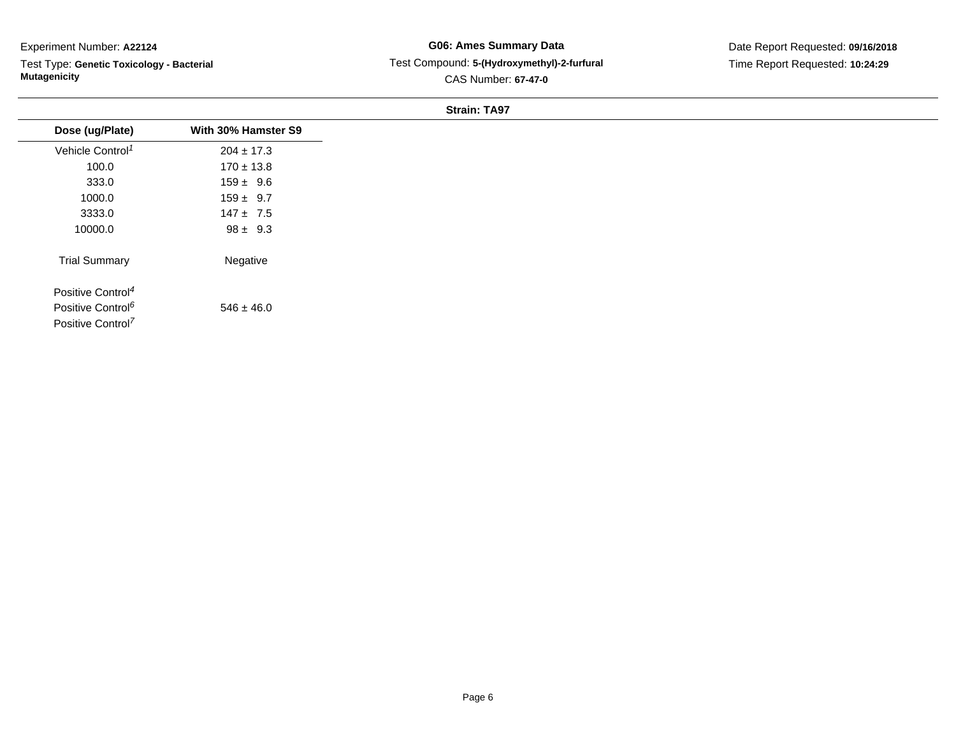Test Type: **Genetic Toxicology - Bacterial Mutagenicity**

## **G06: Ames Summary Data** Test Compound: **5-(Hydroxymethyl)-2-furfural**CAS Number: **67-47-0**

#### **Strain: TA97**

| Dose (ug/Plate)               | With 30% Hamster S9 |
|-------------------------------|---------------------|
| Vehicle Control <sup>1</sup>  | $204 \pm 17.3$      |
| 100.0                         | $170 \pm 13.8$      |
| 333.0                         | $159 \pm 9.6$       |
| 1000.0                        | $159 \pm 9.7$       |
| 3333.0                        | $147 \pm 7.5$       |
| 10000.0                       | $98 \pm 9.3$        |
| <b>Trial Summary</b>          | Negative            |
| Positive Control <sup>4</sup> |                     |
| Positive Control <sup>6</sup> | $546 \pm 46.0$      |
| Positive Control <sup>7</sup> |                     |
|                               |                     |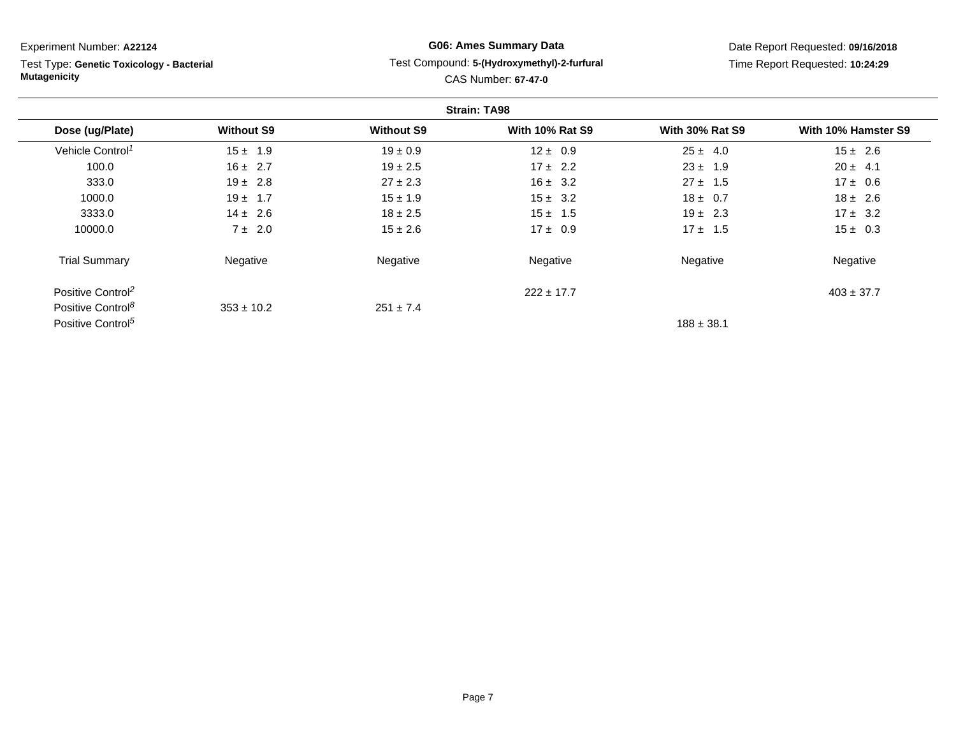**Strain: TA98Dose (ug/Plate) Without S9 Without S9 With 10% Rat S9 With 30% Rat S9 With 10% Hamster S9** Vehicle Control<sup>1</sup>  $15 \pm 1.9$ 9 19  $\pm$  0.9 12  $\pm$  0.9 25  $\pm$  4.0 15  $\pm$  2.6 100.00  $16 \pm 2.7$   $19 \pm 2.5$   $17 \pm 2.2$   $23 \pm 1.9$   $20 \pm 4.1$ 333.00  $19 \pm 2.8$  27  $\pm 2.3$  16  $\pm 3.2$  27  $\pm 1.5$  17  $\pm 0.6$ 1000.00 19  $\pm$  1.7 15  $\pm$  1.9 15  $\pm$  3.2 18  $\pm$  0.7 18  $\pm$  2.6 3333.00 14  $\pm$  2.6 18  $\pm$  2.5 15  $\pm$  1.5 19  $\pm$  2.3 17  $\pm$  3.2 10000.00  $7 \pm 2.0$   $15 \pm 2.6$   $17 \pm 0.9$   $17 \pm 1.5$   $15 \pm 0.3$ Trial Summary Negativee **Negative Regative** Negative Negative Negative Regative Negative Experiment Number: **A22124**Test Type: **Genetic Toxicology - BacterialMutagenicityG06: Ames Summary Data** Test Compound: **5-(Hydroxymethyl)-2-furfural**CAS Number: **67-47-0**Date Report Requested: **09/16/2018**Time Report Requested: **10:24:29**

Positive Control<sup>2</sup>  $222 \pm 17.7$  $403 \pm 37.7$ Positive Control<sup>8</sup>  $353 \pm 10.2$  $251 \pm 7.4$ Positive Control<sup>5</sup>  $\frac{1}{38}$   $\frac{1}{38.1}$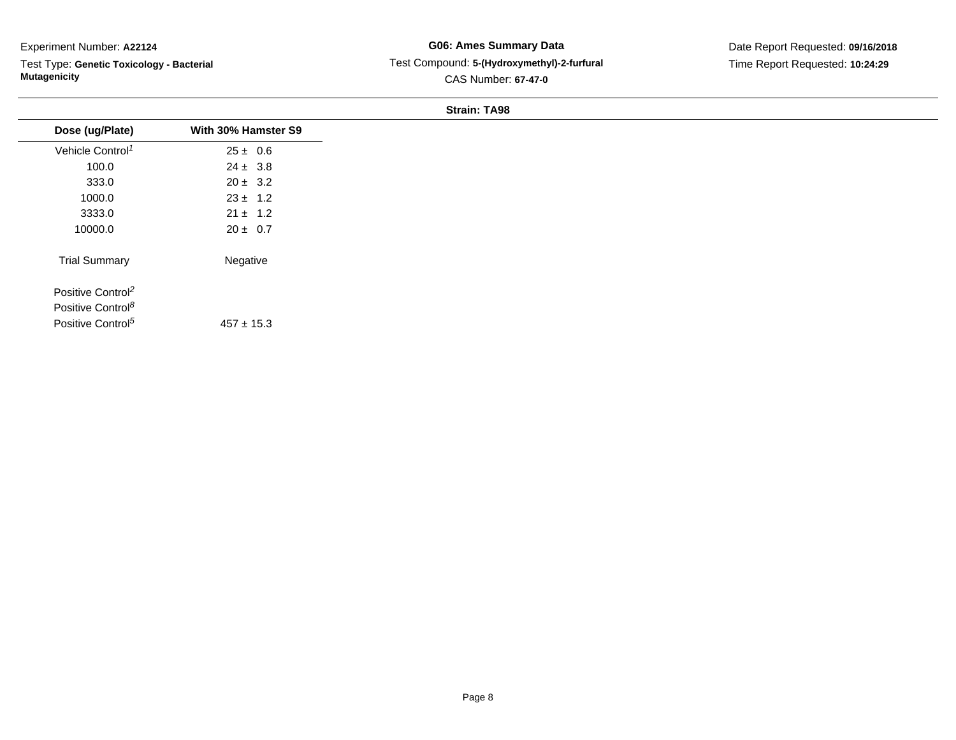Test Type: **Genetic Toxicology - Bacterial Mutagenicity**

## **G06: Ames Summary Data** Test Compound: **5-(Hydroxymethyl)-2-furfural**CAS Number: **67-47-0**

#### **Strain: TA98**

| Dose (ug/Plate)               | With 30% Hamster S9 |
|-------------------------------|---------------------|
| Vehicle Control <sup>1</sup>  | $25 \pm 0.6$        |
| 100.0                         | $24 \pm 3.8$        |
| 333.0                         | $20 \pm 3.2$        |
| 1000.0                        | $23 \pm 1.2$        |
| 3333.0                        | $21 \pm 1.2$        |
| 10000.0                       | $20 \pm 0.7$        |
| <b>Trial Summary</b>          | Negative            |
| Positive Control <sup>2</sup> |                     |
| Positive Control <sup>8</sup> |                     |
| Positive Control <sup>5</sup> | $457 \pm 15.3$      |
|                               |                     |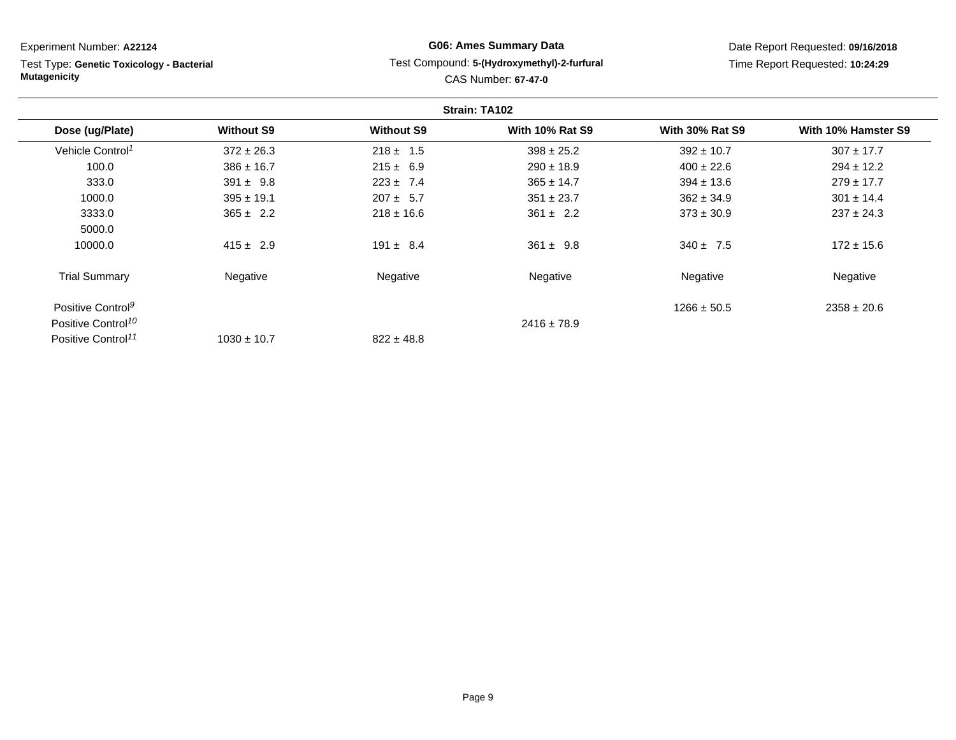Test Type: **Genetic Toxicology - Bacterial Mutagenicity**

# **G06: Ames Summary Data**Test Compound: **5-(Hydroxymethyl)-2-furfural**

CAS Number: **67-47-0**

Date Report Requested: **09/16/2018**Time Report Requested: **10:24:29**

|                                |                   |                   | Strain: TA102          |                        |                     |
|--------------------------------|-------------------|-------------------|------------------------|------------------------|---------------------|
| Dose (ug/Plate)                | <b>Without S9</b> | <b>Without S9</b> | <b>With 10% Rat S9</b> | <b>With 30% Rat S9</b> | With 10% Hamster S9 |
| Vehicle Control <sup>1</sup>   | $372 \pm 26.3$    | $218 \pm 1.5$     | $398 \pm 25.2$         | $392 \pm 10.7$         | $307 \pm 17.7$      |
| 100.0                          | $386 \pm 16.7$    | $215 \pm 6.9$     | $290 \pm 18.9$         | $400 \pm 22.6$         | $294 \pm 12.2$      |
| 333.0                          | $391 \pm 9.8$     | $223 \pm 7.4$     | $365 \pm 14.7$         | $394 \pm 13.6$         | $279 \pm 17.7$      |
| 1000.0                         | $395 \pm 19.1$    | $207 \pm 5.7$     | $351 \pm 23.7$         | $362 \pm 34.9$         | $301 \pm 14.4$      |
| 3333.0                         | $365 \pm 2.2$     | $218 \pm 16.6$    | $361 \pm 2.2$          | $373 \pm 30.9$         | $237 \pm 24.3$      |
| 5000.0                         |                   |                   |                        |                        |                     |
| 10000.0                        | $415 \pm 2.9$     | $191 \pm 8.4$     | $361 \pm 9.8$          | $340 \pm 7.5$          | $172 \pm 15.6$      |
| <b>Trial Summary</b>           | Negative          | Negative          | Negative               | Negative               | Negative            |
| Positive Control <sup>9</sup>  |                   |                   |                        | $1266 \pm 50.5$        | $2358 \pm 20.6$     |
| Positive Control <sup>10</sup> |                   |                   | $2416 \pm 78.9$        |                        |                     |
| Positive Control <sup>11</sup> | $1030 \pm 10.7$   | $822 \pm 48.8$    |                        |                        |                     |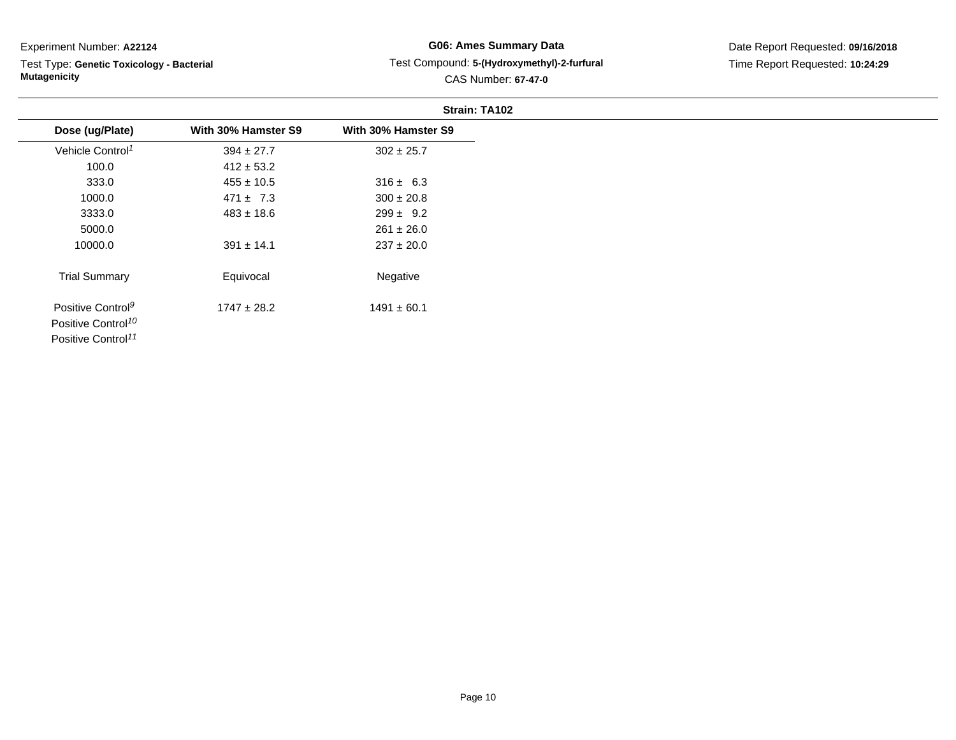Test Type: **Genetic Toxicology - Bacterial Mutagenicity**

# **G06: Ames Summary Data** Test Compound: **5-(Hydroxymethyl)-2-furfural**CAS Number: **67-47-0**

|                                |                     | Strain: TA102       |
|--------------------------------|---------------------|---------------------|
| Dose (ug/Plate)                | With 30% Hamster S9 | With 30% Hamster S9 |
| Vehicle Control <sup>1</sup>   | $394 \pm 27.7$      | $302 \pm 25.7$      |
| 100.0                          | $412 \pm 53.2$      |                     |
| 333.0                          | $455 \pm 10.5$      | $316 \pm 6.3$       |
| 1000.0                         | $471 \pm 7.3$       | $300 \pm 20.8$      |
| 3333.0                         | $483 \pm 18.6$      | $299 \pm 9.2$       |
| 5000.0                         |                     | $261 \pm 26.0$      |
| 10000.0                        | $391 \pm 14.1$      | $237 \pm 20.0$      |
| <b>Trial Summary</b>           | Equivocal           | Negative            |
| Positive Control <sup>9</sup>  | $1747 \pm 28.2$     | $1491 \pm 60.1$     |
| Positive Control <sup>10</sup> |                     |                     |
| Positive Control <sup>11</sup> |                     |                     |